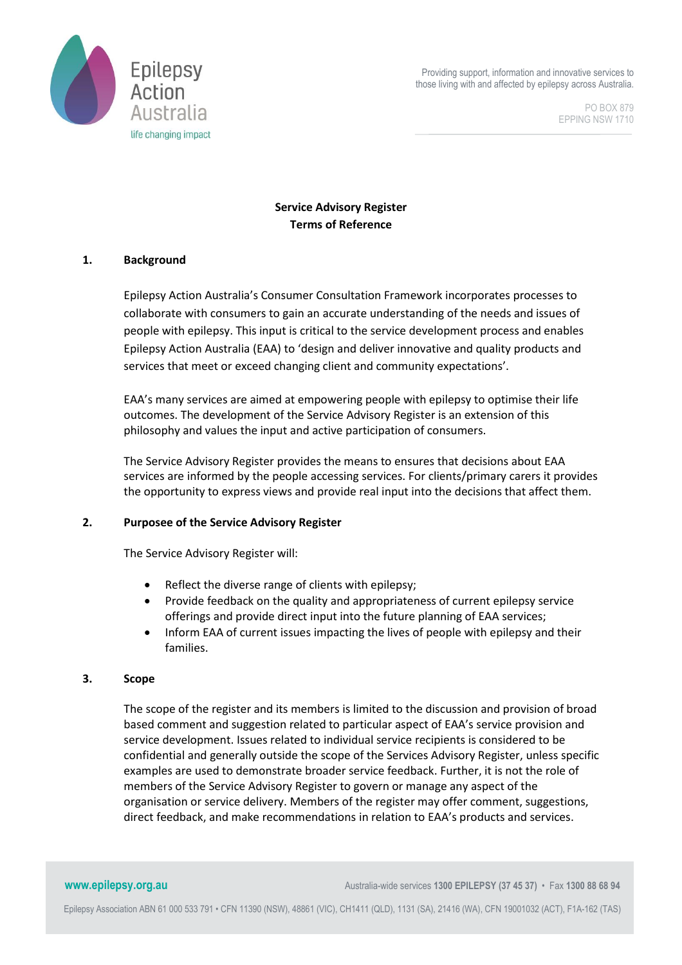

Providing support, information and innovative services to those living with and affected by epilepsy across Australia.

> PO BOX 879 EPPING NSW 1710

# **Service Advisory Register Terms of Reference**

# **1. Background**

Epilepsy Action Australia's Consumer Consultation Framework incorporates processes to collaborate with consumers to gain an accurate understanding of the needs and issues of people with epilepsy. This input is critical to the service development process and enables Epilepsy Action Australia (EAA) to 'design and deliver innovative and quality products and services that meet or exceed changing client and community expectations'.

EAA's many services are aimed at empowering people with epilepsy to optimise their life outcomes. The development of the Service Advisory Register is an extension of this philosophy and values the input and active participation of consumers.

The Service Advisory Register provides the means to ensures that decisions about EAA services are informed by the people accessing services. For clients/primary carers it provides the opportunity to express views and provide real input into the decisions that affect them.

### **2. Purposee of the Service Advisory Register**

The Service Advisory Register will:

- Reflect the diverse range of clients with epilepsy;
- Provide feedback on the quality and appropriateness of current epilepsy service offerings and provide direct input into the future planning of EAA services;
- Inform EAA of current issues impacting the lives of people with epilepsy and their families.

#### **3. Scope**

The scope of the register and its members is limited to the discussion and provision of broad based comment and suggestion related to particular aspect of EAA's service provision and service development. Issues related to individual service recipients is considered to be confidential and generally outside the scope of the Services Advisory Register, unless specific examples are used to demonstrate broader service feedback. Further, it is not the role of members of the Service Advisory Register to govern or manage any aspect of the organisation or service delivery. Members of the register may offer comment, suggestions, direct feedback, and make recommendations in relation to EAA's products and services.

**www.epilepsy.org.au** Australia-wide services **1300 EPILEPSY** (37 45 37) • Fax 1300 88 68 94

Epilepsy Association ABN 61 000 533 791 • CFN 11390 (NSW), 48861 (VIC), CH1411 (QLD), 1131 (SA), 21416 (WA), CFN 19001032 (ACT), F1A-162 (TAS)